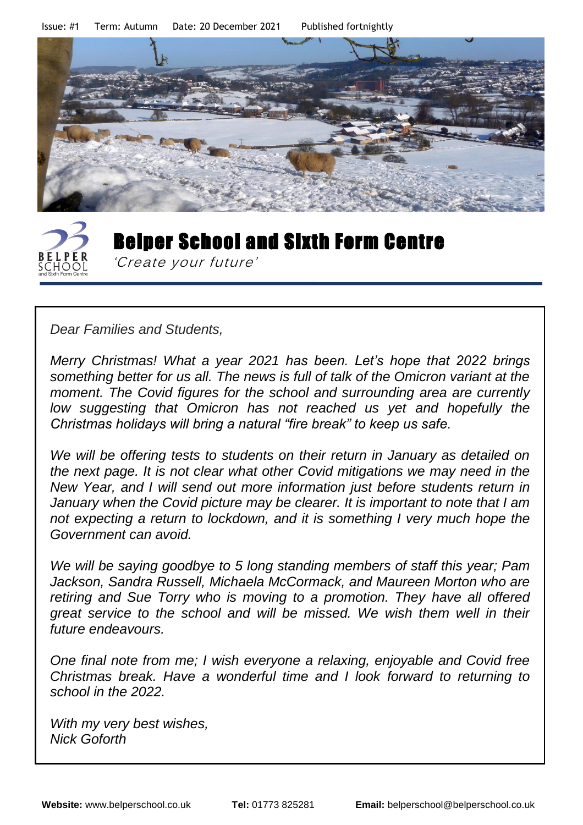Issue: #1 Term: Autumn Date: 20 December 2021 Published fortnightly





*Dear Families and Students,*

*Merry Christmas! What a year 2021 has been. Let's hope that 2022 brings something better for us all. The news is full of talk of the Omicron variant at the moment. The Covid figures for the school and surrounding area are currently low suggesting that Omicron has not reached us yet and hopefully the Christmas holidays will bring a natural "fire break" to keep us safe.* 

*We will be offering tests to students on their return in January as detailed on the next page. It is not clear what other Covid mitigations we may need in the New Year, and I will send out more information just before students return in January when the Covid picture may be clearer. It is important to note that I am not expecting a return to lockdown, and it is something I very much hope the Government can avoid.* 

*We will be saying goodbye to 5 long standing members of staff this year; Pam Jackson, Sandra Russell, Michaela McCormack, and Maureen Morton who are retiring and Sue Torry who is moving to a promotion. They have all offered great service to the school and will be missed. We wish them well in their future endeavours.* 

*One final note from me; I wish everyone a relaxing, enjoyable and Covid free Christmas break. Have a wonderful time and I look forward to returning to school in the 2022.*

*With my very best wishes, Nick Goforth*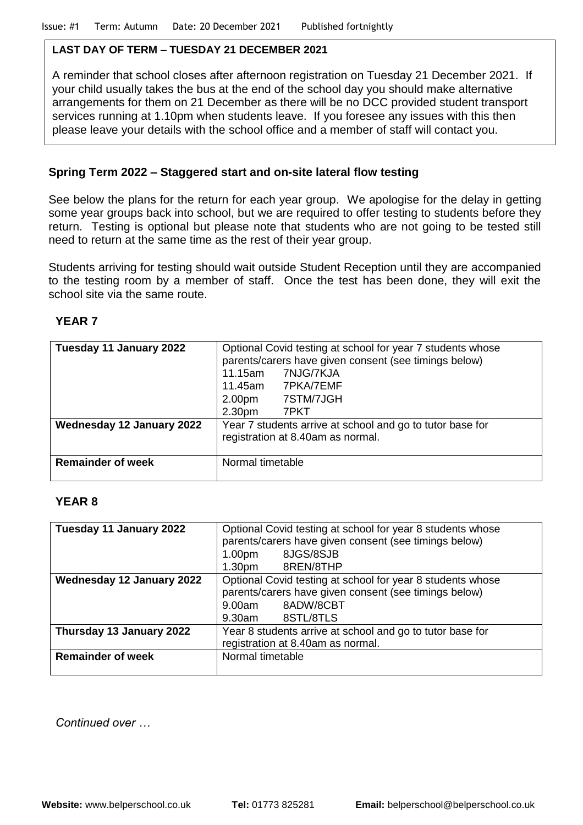#### **LAST DAY OF TERM – TUESDAY 21 DECEMBER 2021**

A reminder that school closes after afternoon registration on Tuesday 21 December 2021. If your child usually takes the bus at the end of the school day you should make alternative arrangements for them on 21 December as there will be no DCC provided student transport services running at 1.10pm when students leave. If you foresee any issues with this then please leave your details with the school office and a member of staff will contact you.

#### **Spring Term 2022 – Staggered start and on-site lateral flow testing**

See below the plans for the return for each year group. We apologise for the delay in getting some year groups back into school, but we are required to offer testing to students before they return. Testing is optional but please note that students who are not going to be tested still need to return at the same time as the rest of their year group.

Students arriving for testing should wait outside Student Reception until they are accompanied to the testing room by a member of staff. Once the test has been done, they will exit the school site via the same route.

#### **YEAR 7**

| Tuesday 11 January 2022                               | 11.15am<br>2.00 <sub>pm</sub>          | Optional Covid testing at school for year 7 students whose<br>parents/carers have given consent (see timings below)<br>7NJG/7KJA<br>11.45am 7PKA/7EMF<br>7STM/7JGH |
|-------------------------------------------------------|----------------------------------------|--------------------------------------------------------------------------------------------------------------------------------------------------------------------|
| Wednesday 12 January 2022<br><b>Remainder of week</b> | 2.30 <sub>pm</sub><br>Normal timetable | 7PKT<br>Year 7 students arrive at school and go to tutor base for<br>registration at 8.40am as normal.                                                             |
|                                                       |                                        |                                                                                                                                                                    |

#### **YEAR 8**

| Tuesday 11 January 2022   | Optional Covid testing at school for year 8 students whose |  |
|---------------------------|------------------------------------------------------------|--|
|                           | parents/carers have given consent (see timings below)      |  |
|                           | 8JGS/8SJB<br>1.00 <sub>pm</sub>                            |  |
|                           | 8REN/8THP<br>1.30 <sub>pm</sub>                            |  |
| Wednesday 12 January 2022 | Optional Covid testing at school for year 8 students whose |  |
|                           | parents/carers have given consent (see timings below)      |  |
|                           | 8ADW/8CBT<br>9.00am                                        |  |
|                           | 8STL/8TLS<br>9.30am                                        |  |
| Thursday 13 January 2022  | Year 8 students arrive at school and go to tutor base for  |  |
|                           | registration at 8.40am as normal.                          |  |
| <b>Remainder of week</b>  | Normal timetable                                           |  |
|                           |                                                            |  |

*Continued over …*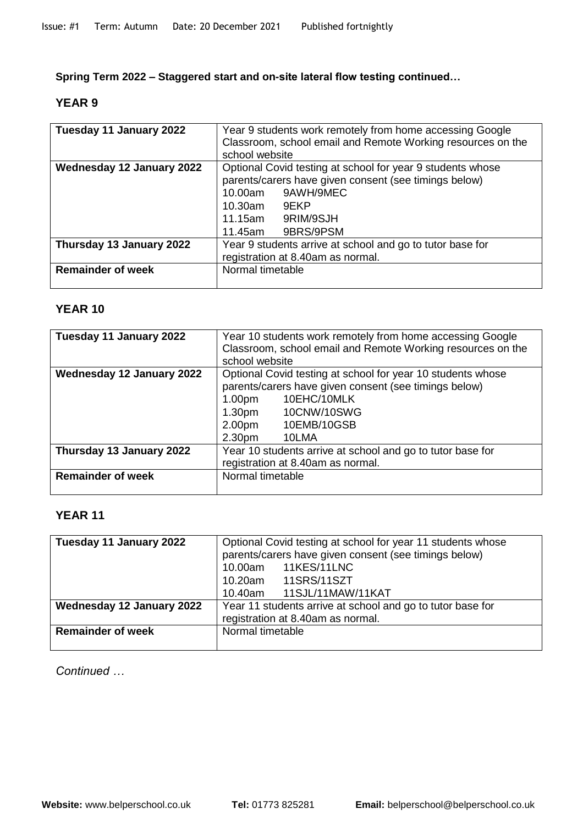**Spring Term 2022 – Staggered start and on-site lateral flow testing continued…**

#### **YEAR 9**

| Tuesday 11 January 2022          | Year 9 students work remotely from home accessing Google<br>Classroom, school email and Remote Working resources on the<br>school website |  |  |
|----------------------------------|-------------------------------------------------------------------------------------------------------------------------------------------|--|--|
| <b>Wednesday 12 January 2022</b> | Optional Covid testing at school for year 9 students whose                                                                                |  |  |
|                                  | parents/carers have given consent (see timings below)                                                                                     |  |  |
|                                  | 10.00am 9AWH/9MEC                                                                                                                         |  |  |
|                                  | 10.30am 9EKP                                                                                                                              |  |  |
|                                  | 11.15am 9RIM/9SJH                                                                                                                         |  |  |
|                                  | 11.45am 9BRS/9PSM                                                                                                                         |  |  |
| Thursday 13 January 2022         | Year 9 students arrive at school and go to tutor base for                                                                                 |  |  |
|                                  | registration at 8.40am as normal.                                                                                                         |  |  |
| <b>Remainder of week</b>         | Normal timetable                                                                                                                          |  |  |
|                                  |                                                                                                                                           |  |  |

#### **YEAR 10**

| Tuesday 11 January 2022   | Year 10 students work remotely from home accessing Google   |  |
|---------------------------|-------------------------------------------------------------|--|
|                           | Classroom, school email and Remote Working resources on the |  |
|                           | school website                                              |  |
| Wednesday 12 January 2022 | Optional Covid testing at school for year 10 students whose |  |
|                           | parents/carers have given consent (see timings below)       |  |
|                           | 10EHC/10MLK<br>1.00 <sub>pm</sub>                           |  |
|                           | 10CNW/10SWG<br>1.30 <sub>pm</sub>                           |  |
|                           | 10EMB/10GSB<br>2.00 <sub>pm</sub>                           |  |
|                           | 2.30 <sub>pm</sub><br>10LMA                                 |  |
| Thursday 13 January 2022  | Year 10 students arrive at school and go to tutor base for  |  |
|                           | registration at 8.40am as normal.                           |  |
| <b>Remainder of week</b>  | Normal timetable                                            |  |
|                           |                                                             |  |

## **YEAR 11**

| Tuesday 11 January 2022   | Optional Covid testing at school for year 11 students whose<br>parents/carers have given consent (see timings below)<br>11KES/11LNC<br>10.00am<br>10.20am  11SRS/11SZT<br>11SJL/11MAW/11KAT<br>10.40am |
|---------------------------|--------------------------------------------------------------------------------------------------------------------------------------------------------------------------------------------------------|
| Wednesday 12 January 2022 | Year 11 students arrive at school and go to tutor base for<br>registration at 8.40am as normal.                                                                                                        |
| <b>Remainder of week</b>  | Normal timetable                                                                                                                                                                                       |

*Continued …*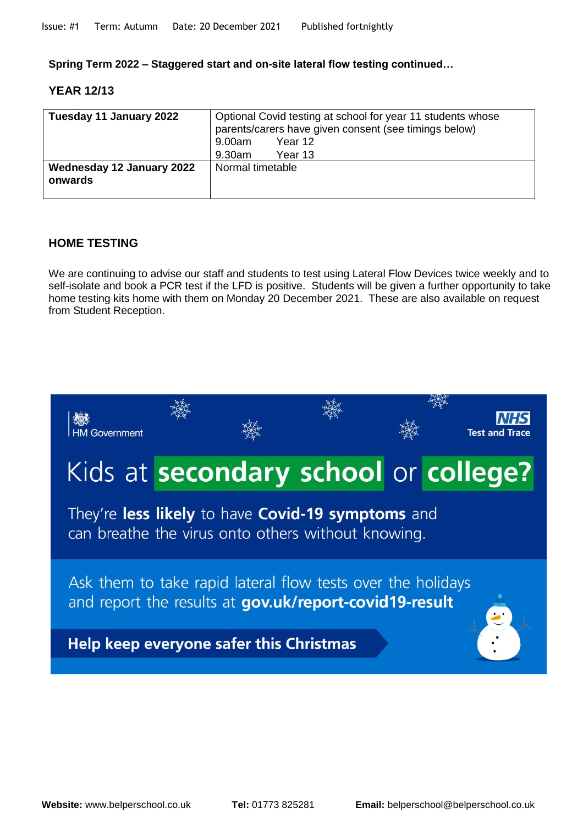**Spring Term 2022 – Staggered start and on-site lateral flow testing continued…**

#### **YEAR 12/13**

| Tuesday 11 January 2022              | Optional Covid testing at school for year 11 students whose<br>parents/carers have given consent (see timings below) |  |
|--------------------------------------|----------------------------------------------------------------------------------------------------------------------|--|
|                                      | Year 12<br>9.00am                                                                                                    |  |
|                                      | Year 13<br>9.30am                                                                                                    |  |
| Wednesday 12 January 2022<br>onwards | Normal timetable                                                                                                     |  |

#### **HOME TESTING**

We are continuing to advise our staff and students to test using Lateral Flow Devices twice weekly and to self-isolate and book a PCR test if the LFD is positive. Students will be given a further opportunity to take home testing kits home with them on Monday 20 December 2021. These are also available on request from Student Reception.

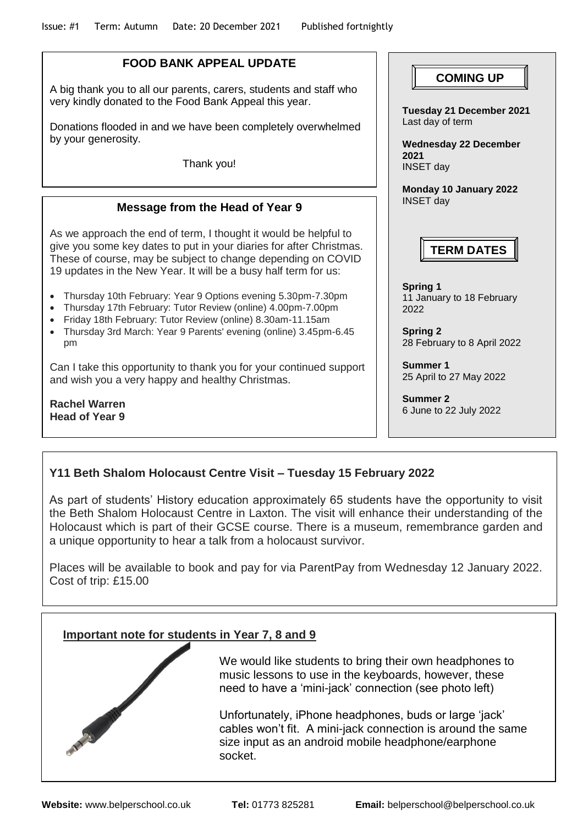### **FOOD BANK APPEAL UPDATE**

A big thank you to all our parents, carers, students and staff who very kindly donated to the Food Bank Appeal this year.

Donations flooded in and we have been completely overwhelmed by your generosity.

Thank you!

#### **Message from the Head of Year 9**

As we approach the end of term, I thought it would be helpful to give you some key dates to put in your diaries for after Christmas. These of course, may be subject to change depending on COVID 19 updates in the New Year. It will be a busy half term for us:

- Thursday 10th February: Year 9 Options evening 5.30pm-7.30pm
- Thursday 17th February: Tutor Review (online) 4.00pm-7.00pm
- Friday 18th February: Tutor Review (online) 8.30am-11.15am
- Thursday 3rd March: Year 9 Parents' evening (online) 3.45pm-6.45 pm

Can I take this opportunity to thank you for your continued support and wish you a very happy and healthy Christmas.

**Rachel Warren Head of Year 9**

# $\begin{bmatrix} \texttt{COMING UP} \end{bmatrix}$

**Tuesday 21 December 2021** Last day of term

**Wednesday 22 December 2021** INSET day

**Monday 10 January 2022** INSET day

## **TERM DATES**

**Spring 1** 11 January to 18 February 2022

**Spring 2** 28 February to 8 April 2022

**Summer 1** 25 April to 27 May 2022

**Summer 2** 6 June to 22 July 2022

## **Y11 Beth Shalom Holocaust Centre Visit – Tuesday 15 February 2022**

As part of students' History education approximately 65 students have the opportunity to visit the Beth Shalom Holocaust Centre in Laxton. The visit will enhance their understanding of the Holocaust which is part of their GCSE course. There is a museum, remembrance garden and a unique opportunity to hear a talk from a holocaust survivor.

Places will be available to book and pay for via ParentPay from Wednesday 12 January 2022. Cost of trip: £15.00

#### **Important note for students in Year 7, 8 and 9**



We would like students to bring their own headphones to music lessons to use in the keyboards, however, these need to have a 'mini-jack' connection (see photo left)

Unfortunately, iPhone headphones, buds or large 'jack' cables won't fit. A mini-jack connection is around the same size input as an android mobile headphone/earphone socket.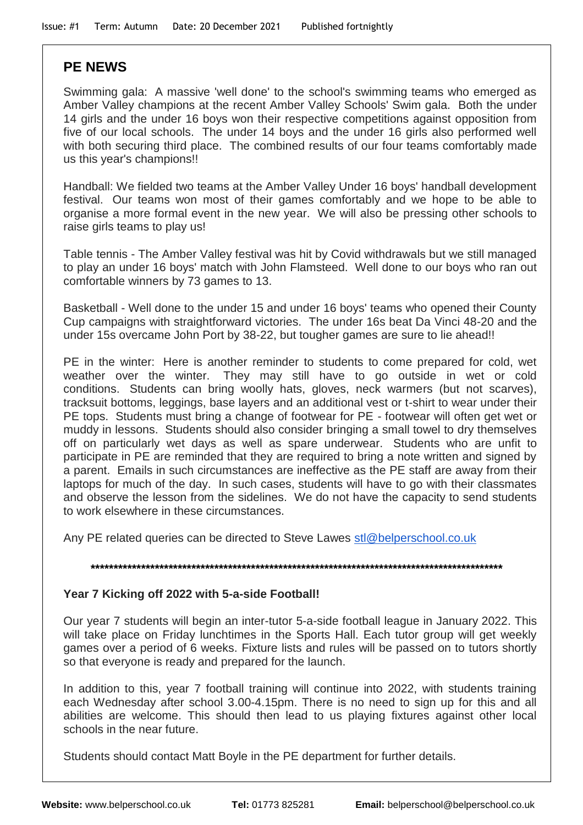## **PE NEWS**

Swimming gala: A massive 'well done' to the school's swimming teams who emerged as Amber Valley champions at the recent Amber Valley Schools' Swim gala. Both the under 14 girls and the under 16 boys won their respective competitions against opposition from five of our local schools. The under 14 boys and the under 16 girls also performed well with both securing third place. The combined results of our four teams comfortably made us this year's champions!!

Handball: We fielded two teams at the Amber Valley Under 16 boys' handball development festival. Our teams won most of their games comfortably and we hope to be able to organise a more formal event in the new year. We will also be pressing other schools to raise girls teams to play us!

Table tennis - The Amber Valley festival was hit by Covid withdrawals but we still managed to play an under 16 boys' match with John Flamsteed. Well done to our boys who ran out comfortable winners by 73 games to 13.

Basketball - Well done to the under 15 and under 16 boys' teams who opened their County Cup campaigns with straightforward victories. The under 16s beat Da Vinci 48-20 and the under 15s overcame John Port by 38-22, but tougher games are sure to lie ahead!!

PE in the winter: Here is another reminder to students to come prepared for cold, wet weather over the winter. They may still have to go outside in wet or cold conditions. Students can bring woolly hats, gloves, neck warmers (but not scarves), tracksuit bottoms, leggings, base layers and an additional vest or t-shirt to wear under their PE tops. Students must bring a change of footwear for PE - footwear will often get wet or muddy in lessons. Students should also consider bringing a small towel to dry themselves off on particularly wet days as well as spare underwear. Students who are unfit to participate in PE are reminded that they are required to bring a note written and signed by a parent. Emails in such circumstances are ineffective as the PE staff are away from their laptops for much of the day. In such cases, students will have to go with their classmates and observe the lesson from the sidelines. We do not have the capacity to send students to work elsewhere in these circumstances.

Any PE related queries can be directed to Steve Lawes [stl@belperschool.co.uk](mailto:stl@belperschool.co.uk)

# **\*\*\*\*\*\*\*\*\*\*\*\*\*\*\*\*\*\*\*\*\*\*\*\*\*\*\*\*\*\*\*\*\*\*\*\*\*\*\*\*\*\*\*\*\*\*\*\*\*\*\*\*\*\*\*\*\*\*\*\*\*\*\*\*\*\*\*\*\*\*\*\*\*\*\*\*\*\*\*\*\*\*\*\*\*\*\*\*\*\***

#### **Year 7 Kicking off 2022 with 5-a-side Football!**

Our year 7 students will begin an inter-tutor 5-a-side football league in January 2022. This will take place on Friday lunchtimes in the Sports Hall. Each tutor group will get weekly games over a period of 6 weeks. Fixture lists and rules will be passed on to tutors shortly so that everyone is ready and prepared for the launch.

In addition to this, year 7 football training will continue into 2022, with students training each Wednesday after school 3.00-4.15pm. There is no need to sign up for this and all abilities are welcome. This should then lead to us playing fixtures against other local schools in the near future.

Students should contact Matt Boyle in the PE department for further details.